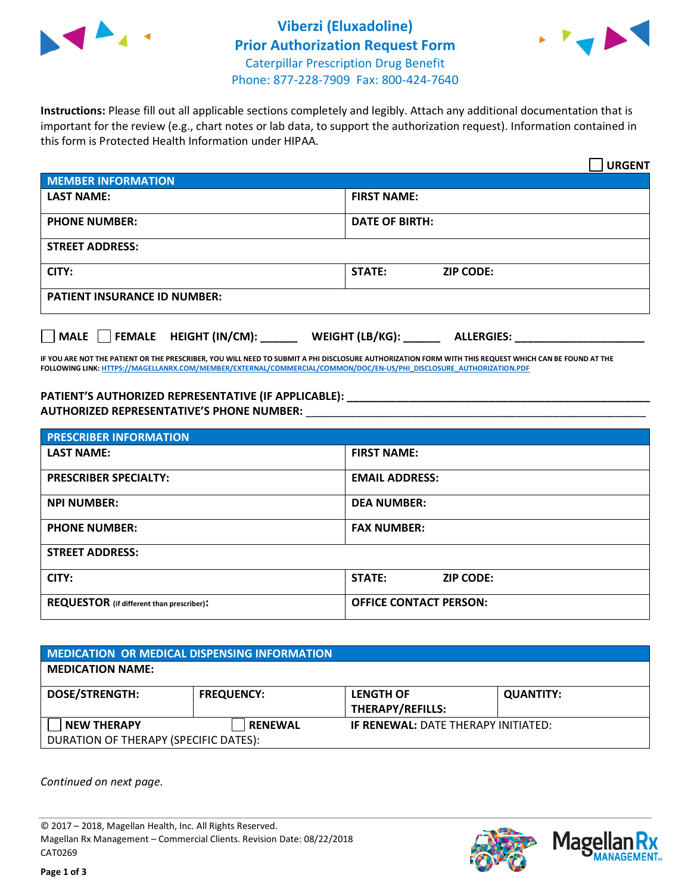



**Instructions:** Please fill out all applicable sections completely and legibly. Attach any additional documentation that is important for the review (e.g., chart notes or lab data, to support the authorization request). Information contained in this form is Protected Health Information under HIPAA.

|                                       | <b>URGENT</b>                        |  |
|---------------------------------------|--------------------------------------|--|
| <b>MEMBER INFORMATION</b>             |                                      |  |
| <b>LAST NAME:</b>                     | <b>FIRST NAME:</b>                   |  |
| <b>PHONE NUMBER:</b>                  | <b>DATE OF BIRTH:</b>                |  |
| <b>STREET ADDRESS:</b>                |                                      |  |
| CITY:                                 | <b>STATE:</b><br><b>ZIP CODE:</b>    |  |
| <b>PATIENT INSURANCE ID NUMBER:</b>   |                                      |  |
| FEMALE HEIGHT (IN/CM):<br><b>MALE</b> | WEIGHT (LB/KG):<br><b>ALLERGIES:</b> |  |

**IF YOU ARE NOT THE PATIENT OR THE PRESCRIBER, YOU WILL NEED TO SUBMIT A PHI DISCLOSURE AUTHORIZATION FORM WITH THIS REQUEST WHICH CAN BE FOUND AT THE FOLLOWING LINK[: HTTPS://MAGELLANRX.COM/MEMBER/EXTERNAL/COMMERCIAL/COMMON/DOC/EN-US/PHI\\_DISCLOSURE\\_AUTHORIZATION.PDF](https://magellanrx.com/member/external/commercial/common/doc/en-us/PHI_Disclosure_Authorization.pdf)**

**PATIENT'S AUTHORIZED REPRESENTATIVE (IF APPLICABLE): \_\_\_\_\_\_\_\_\_\_\_\_\_\_\_\_\_\_\_\_\_\_\_\_\_\_\_\_\_\_\_\_\_\_\_\_\_\_\_\_\_\_\_\_\_\_\_\_\_ AUTHORIZED REPRESENTATIVE'S PHONE NUMBER:** \_\_\_\_\_\_\_\_\_\_\_\_\_\_\_\_\_\_\_\_\_\_\_\_\_\_\_\_\_\_\_\_\_\_\_\_\_\_\_\_\_\_\_\_\_\_\_\_\_\_\_\_\_\_\_

| <b>PRESCRIBER INFORMATION</b>             |                                   |  |
|-------------------------------------------|-----------------------------------|--|
| <b>LAST NAME:</b>                         | <b>FIRST NAME:</b>                |  |
| <b>PRESCRIBER SPECIALTY:</b>              | <b>EMAIL ADDRESS:</b>             |  |
| <b>NPI NUMBER:</b>                        | <b>DEA NUMBER:</b>                |  |
| <b>PHONE NUMBER:</b>                      | <b>FAX NUMBER:</b>                |  |
| <b>STREET ADDRESS:</b>                    |                                   |  |
| CITY:                                     | <b>STATE:</b><br><b>ZIP CODE:</b> |  |
| REQUESTOR (if different than prescriber): | <b>OFFICE CONTACT PERSON:</b>     |  |

| <b>MEDICATION OR MEDICAL DISPENSING INFORMATION</b> |                   |                                            |                  |  |  |
|-----------------------------------------------------|-------------------|--------------------------------------------|------------------|--|--|
| <b>MEDICATION NAME:</b>                             |                   |                                            |                  |  |  |
| <b>DOSE/STRENGTH:</b>                               | <b>FREQUENCY:</b> | <b>LENGTH OF</b>                           | <b>QUANTITY:</b> |  |  |
|                                                     |                   | <b>THERAPY/REFILLS:</b>                    |                  |  |  |
| <b>NEW THERAPY</b>                                  | <b>RENEWAL</b>    | <b>IF RENEWAL: DATE THERAPY INITIATED:</b> |                  |  |  |
| DURATION OF THERAPY (SPECIFIC DATES):               |                   |                                            |                  |  |  |

*Continued on next page.*

© 2017 – 2018, Magellan Health, Inc. All Rights Reserved. Magellan Rx Management – Commercial Clients. Revision Date: 08/22/2018 CAT0269



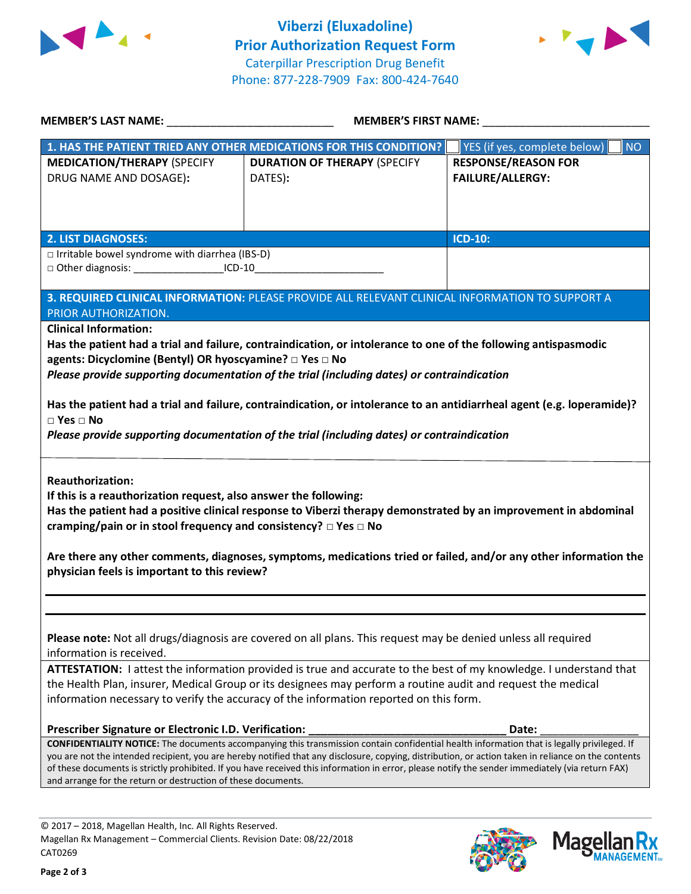



| <b>MEMBER'S LAST NAME:</b> NAME                                                                                                                                                                                   | MEMBER'S FIRST NAME:                                                                                            |                                                                                                                                                    |  |  |
|-------------------------------------------------------------------------------------------------------------------------------------------------------------------------------------------------------------------|-----------------------------------------------------------------------------------------------------------------|----------------------------------------------------------------------------------------------------------------------------------------------------|--|--|
|                                                                                                                                                                                                                   | 1. HAS THE PATIENT TRIED ANY OTHER MEDICATIONS FOR THIS CONDITION?                                              | YES (if yes, complete below)<br><b>NO</b>                                                                                                          |  |  |
| <b>MEDICATION/THERAPY (SPECIFY</b>                                                                                                                                                                                | <b>DURATION OF THERAPY (SPECIFY</b>                                                                             | <b>RESPONSE/REASON FOR</b>                                                                                                                         |  |  |
| DRUG NAME AND DOSAGE):                                                                                                                                                                                            | DATES):                                                                                                         | <b>FAILURE/ALLERGY:</b>                                                                                                                            |  |  |
|                                                                                                                                                                                                                   |                                                                                                                 |                                                                                                                                                    |  |  |
|                                                                                                                                                                                                                   |                                                                                                                 |                                                                                                                                                    |  |  |
|                                                                                                                                                                                                                   |                                                                                                                 |                                                                                                                                                    |  |  |
| <b>2. LIST DIAGNOSES:</b>                                                                                                                                                                                         |                                                                                                                 | <b>ICD-10:</b>                                                                                                                                     |  |  |
| $\Box$ Irritable bowel syndrome with diarrhea (IBS-D)                                                                                                                                                             |                                                                                                                 |                                                                                                                                                    |  |  |
| □ Other diagnosis: ____________________ICD-10__________________________________                                                                                                                                   |                                                                                                                 |                                                                                                                                                    |  |  |
|                                                                                                                                                                                                                   | 3. REQUIRED CLINICAL INFORMATION: PLEASE PROVIDE ALL RELEVANT CLINICAL INFORMATION TO SUPPORT A                 |                                                                                                                                                    |  |  |
| PRIOR AUTHORIZATION.                                                                                                                                                                                              |                                                                                                                 |                                                                                                                                                    |  |  |
| <b>Clinical Information:</b>                                                                                                                                                                                      |                                                                                                                 |                                                                                                                                                    |  |  |
|                                                                                                                                                                                                                   | Has the patient had a trial and failure, contraindication, or intolerance to one of the following antispasmodic |                                                                                                                                                    |  |  |
| agents: Dicyclomine (Bentyl) OR hyoscyamine? □ Yes □ No                                                                                                                                                           |                                                                                                                 |                                                                                                                                                    |  |  |
|                                                                                                                                                                                                                   | Please provide supporting documentation of the trial (including dates) or contraindication                      |                                                                                                                                                    |  |  |
|                                                                                                                                                                                                                   |                                                                                                                 |                                                                                                                                                    |  |  |
| Has the patient had a trial and failure, contraindication, or intolerance to an antidiarrheal agent (e.g. loperamide)?                                                                                            |                                                                                                                 |                                                                                                                                                    |  |  |
| $\square$ Yes $\square$ No                                                                                                                                                                                        |                                                                                                                 |                                                                                                                                                    |  |  |
|                                                                                                                                                                                                                   | Please provide supporting documentation of the trial (including dates) or contraindication                      |                                                                                                                                                    |  |  |
|                                                                                                                                                                                                                   |                                                                                                                 |                                                                                                                                                    |  |  |
| <b>Reauthorization:</b>                                                                                                                                                                                           |                                                                                                                 |                                                                                                                                                    |  |  |
| If this is a reauthorization request, also answer the following:                                                                                                                                                  |                                                                                                                 |                                                                                                                                                    |  |  |
|                                                                                                                                                                                                                   |                                                                                                                 | Has the patient had a positive clinical response to Viberzi therapy demonstrated by an improvement in abdominal                                    |  |  |
| cramping/pain or in stool frequency and consistency? □ Yes □ No                                                                                                                                                   |                                                                                                                 |                                                                                                                                                    |  |  |
|                                                                                                                                                                                                                   |                                                                                                                 |                                                                                                                                                    |  |  |
|                                                                                                                                                                                                                   |                                                                                                                 | Are there any other comments, diagnoses, symptoms, medications tried or failed, and/or any other information the                                   |  |  |
| physician feels is important to this review?                                                                                                                                                                      |                                                                                                                 |                                                                                                                                                    |  |  |
|                                                                                                                                                                                                                   |                                                                                                                 |                                                                                                                                                    |  |  |
|                                                                                                                                                                                                                   |                                                                                                                 |                                                                                                                                                    |  |  |
|                                                                                                                                                                                                                   |                                                                                                                 |                                                                                                                                                    |  |  |
| Please note: Not all drugs/diagnosis are covered on all plans. This request may be denied unless all required                                                                                                     |                                                                                                                 |                                                                                                                                                    |  |  |
| information is received.                                                                                                                                                                                          |                                                                                                                 |                                                                                                                                                    |  |  |
| ATTESTATION: I attest the information provided is true and accurate to the best of my knowledge. I understand that                                                                                                |                                                                                                                 |                                                                                                                                                    |  |  |
| the Health Plan, insurer, Medical Group or its designees may perform a routine audit and request the medical<br>information necessary to verify the accuracy of the information reported on this form.            |                                                                                                                 |                                                                                                                                                    |  |  |
|                                                                                                                                                                                                                   |                                                                                                                 |                                                                                                                                                    |  |  |
| Prescriber Signature or Electronic I.D. Verification:                                                                                                                                                             |                                                                                                                 | Date:                                                                                                                                              |  |  |
|                                                                                                                                                                                                                   |                                                                                                                 | <b>CONFIDENTIALITY NOTICE:</b> The documents accompanying this transmission contain confidential health information that is legally privileged. If |  |  |
| you are not the intended recipient, you are hereby notified that any disclosure, copying, distribution, or action taken in reliance on the contents                                                               |                                                                                                                 |                                                                                                                                                    |  |  |
| of these documents is strictly prohibited. If you have received this information in error, please notify the sender immediately (via return FAX)<br>and arrange for the return or destruction of these documents. |                                                                                                                 |                                                                                                                                                    |  |  |
|                                                                                                                                                                                                                   |                                                                                                                 |                                                                                                                                                    |  |  |
|                                                                                                                                                                                                                   |                                                                                                                 |                                                                                                                                                    |  |  |
| © 2017 - 2018, Magellan Health, Inc. All Rights Reserved.                                                                                                                                                         |                                                                                                                 |                                                                                                                                                    |  |  |

**Page 2 of 3**